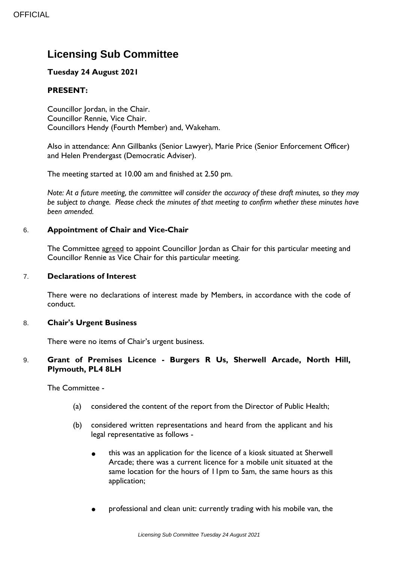# **Licensing Sub Committee**

## **Tuesday 24 August 2021**

## **PRESENT:**

Councillor Jordan, in the Chair. Councillor Rennie, Vice Chair. Councillors Hendy (Fourth Member) and, Wakeham.

Also in attendance: Ann Gillbanks (Senior Lawyer), Marie Price (Senior Enforcement Officer) and Helen Prendergast (Democratic Adviser).

The meeting started at 10.00 am and finished at 2.50 pm.

*Note: At a future meeting, the committee will consider the accuracy of these draft minutes, so they may be subject to change. Please check the minutes of that meeting to confirm whether these minutes have been amended.*

## 6. **Appointment of Chair and Vice-Chair**

The Committee agreed to appoint Councillor Jordan as Chair for this particular meeting and Councillor Rennie as Vice Chair for this particular meeting.

#### 7. **Declarations of Interest**

There were no declarations of interest made by Members, in accordance with the code of conduct.

#### 8. **Chair's Urgent Business**

There were no items of Chair's urgent business.

#### 9. **Grant of Premises Licence - Burgers R Us, Sherwell Arcade, North Hill, Plymouth, PL4 8LH**

The Committee -

- (a) considered the content of the report from the Director of Public Health;
- (b) considered written representations and heard from the applicant and his legal representative as follows -
	- this was an application for the licence of a kiosk situated at Sherwell Arcade; there was a current licence for a mobile unit situated at the same location for the hours of 11pm to 5am, the same hours as this application;
	- professional and clean unit: currently trading with his mobile van, the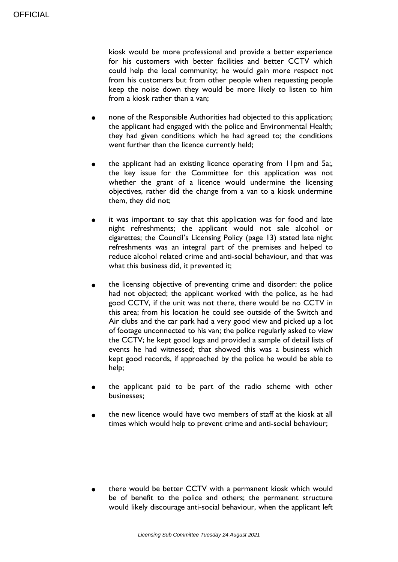kiosk would be more professional and provide a better experience for his customers with better facilities and better CCTV which could help the local community; he would gain more respect not from his customers but from other people when requesting people keep the noise down they would be more likely to listen to him from a kiosk rather than a van;

- none of the Responsible Authorities had objected to this application; the applicant had engaged with the police and Environmental Health; they had given conditions which he had agreed to; the conditions went further than the licence currently held;
- the applicant had an existing licence operating from 11pm and 5a;, the key issue for the Committee for this application was not whether the grant of a licence would undermine the licensing objectives, rather did the change from a van to a kiosk undermine them, they did not;
- it was important to say that this application was for food and late night refreshments; the applicant would not sale alcohol or cigarettes; the Council's Licensing Policy (page 13) stated late night refreshments was an integral part of the premises and helped to reduce alcohol related crime and anti-social behaviour, and that was what this business did, it prevented it;
- the licensing objective of preventing crime and disorder: the police had not objected; the applicant worked with the police, as he had good CCTV, if the unit was not there, there would be no CCTV in this area; from his location he could see outside of the Switch and Air clubs and the car park had a very good view and picked up a lot of footage unconnected to his van; the police regularly asked to view the CCTV; he kept good logs and provided a sample of detail lists of events he had witnessed; that showed this was a business which kept good records, if approached by the police he would be able to help;
- the applicant paid to be part of the radio scheme with other businesses;
- the new licence would have two members of staff at the kiosk at all times which would help to prevent crime and anti-social behaviour;

there would be better CCTV with a permanent kiosk which would be of benefit to the police and others; the permanent structure would likely discourage anti-social behaviour, when the applicant left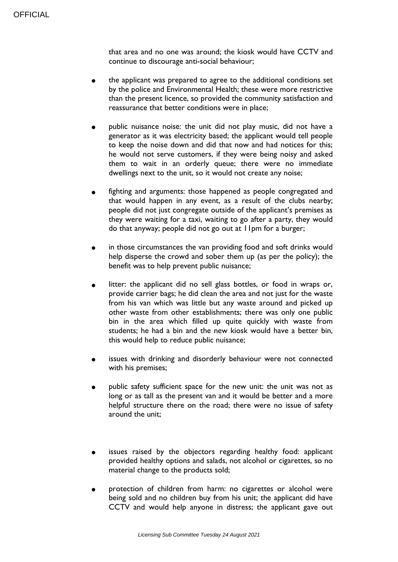that area and no one was around; the kiosk would have CCTV and continue to discourage anti-social behaviour;

- the applicant was prepared to agree to the additional conditions set by the police and Environmental Health; these were more restrictive than the present licence, so provided the community satisfaction and reassurance that better conditions were in place;
- public nuisance noise: the unit did not play music, did not have a generator as it was electricity based; the applicant would tell people to keep the noise down and did that now and had notices for this; he would not serve customers, if they were being noisy and asked them to wait in an orderly queue; there were no immediate dwellings next to the unit, so it would not create any noise;
- fighting and arguments: those happened as people congregated and that would happen in any event, as a result of the clubs nearby; people did not just congregate outside of the applicant's premises as they were waiting for a taxi, waiting to go after a party, they would do that anyway; people did not go out at 11pm for a burger;
- in those circumstances the van providing food and soft drinks would help disperse the crowd and sober them up (as per the policy); the benefit was to help prevent public nuisance;
- litter: the applicant did no sell glass bottles, or food in wraps or, provide carrier bags; he did clean the area and not just for the waste from his van which was little but any waste around and picked up other waste from other establishments; there was only one public bin in the area which filled up quite quickly with waste from students; he had a bin and the new kiosk would have a better bin, this would help to reduce public nuisance;
- issues with drinking and disorderly behaviour were not connected with his premises;
- public safety sufficient space for the new unit: the unit was not as long or as tall as the present van and it would be better and a more helpful structure there on the road; there were no issue of safety around the unit;
- issues raised by the objectors regarding healthy food: applicant provided healthy options and salads, not alcohol or cigarettes, so no material change to the products sold;
- protection of children from harm: no cigarettes or alcohol were being sold and no children buy from his unit; the applicant did have CCTV and would help anyone in distress; the applicant gave out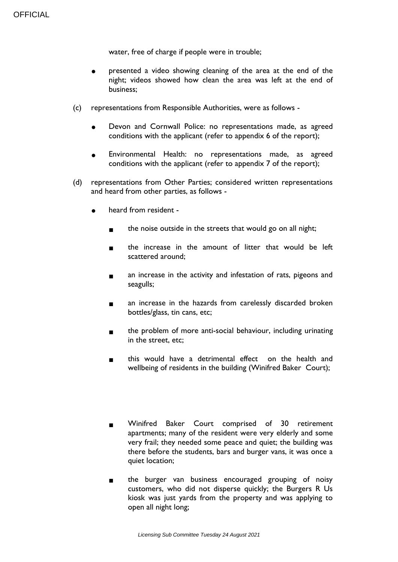water, free of charge if people were in trouble;

- presented a video showing cleaning of the area at the end of the night; videos showed how clean the area was left at the end of business;
- (c) representations from Responsible Authorities, were as follows
	- Devon and Cornwall Police: no representations made, as agreed conditions with the applicant (refer to appendix 6 of the report);
	- Environmental Health: no representations made, as agreed conditions with the applicant (refer to appendix 7 of the report);
- (d) representations from Other Parties; considered written representations and heard from other parties, as follows
	- heard from resident
		- the noise outside in the streets that would go on all night;
		- the increase in the amount of litter that would be left scattered around;
		- an increase in the activity and infestation of rats, pigeons and seagulls;
		- an increase in the hazards from carelessly discarded broken bottles/glass, tin cans, etc;
		- the problem of more anti-social behaviour, including urinating in the street, etc;
		- this would have a detrimental effect on the health and wellbeing of residents in the building (Winifred Baker Court);

## Winifred Baker Court comprised of 30 retirement apartments; many of the resident were very elderly and some very frail; they needed some peace and quiet; the building was there before the students, bars and burger vans, it was once a

the burger van business encouraged grouping of noisy customers, who did not disperse quickly; the Burgers R Us kiosk was just yards from the property and was applying to open all night long;

quiet location;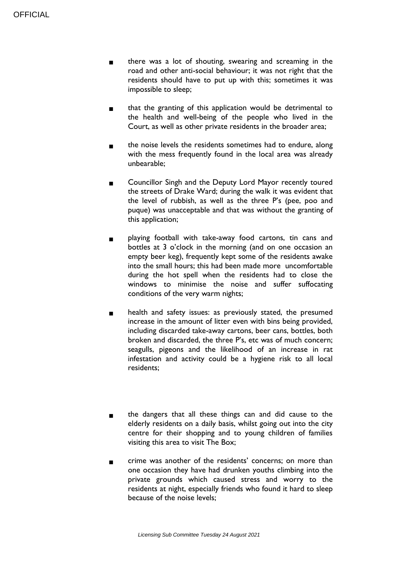- there was a lot of shouting, swearing and screaming in the road and other anti-social behaviour; it was not right that the residents should have to put up with this; sometimes it was impossible to sleep;
- that the granting of this application would be detrimental to the health and well-being of the people who lived in the Court, as well as other private residents in the broader area;
- the noise levels the residents sometimes had to endure, along with the mess frequently found in the local area was already unbearable;
- Councillor Singh and the Deputy Lord Mayor recently toured the streets of Drake Ward; during the walk it was evident that the level of rubbish, as well as the three P's (pee, poo and puque) was unacceptable and that was without the granting of this application;
- playing football with take-away food cartons, tin cans and bottles at 3 o'clock in the morning (and on one occasion an empty beer keg), frequently kept some of the residents awake into the small hours; this had been made more uncomfortable during the hot spell when the residents had to close the windows to minimise the noise and suffer suffocating conditions of the very warm nights;
- health and safety issues: as previously stated, the presumed increase in the amount of litter even with bins being provided, including discarded take-away cartons, beer cans, bottles, both broken and discarded, the three P's, etc was of much concern; seagulls, pigeons and the likelihood of an increase in rat infestation and activity could be a hygiene risk to all local residents;
- the dangers that all these things can and did cause to the elderly residents on a daily basis, whilst going out into the city centre for their shopping and to young children of families visiting this area to visit The Box;
- crime was another of the residents' concerns; on more than one occasion they have had drunken youths climbing into the private grounds which caused stress and worry to the residents at night, especially friends who found it hard to sleep because of the noise levels;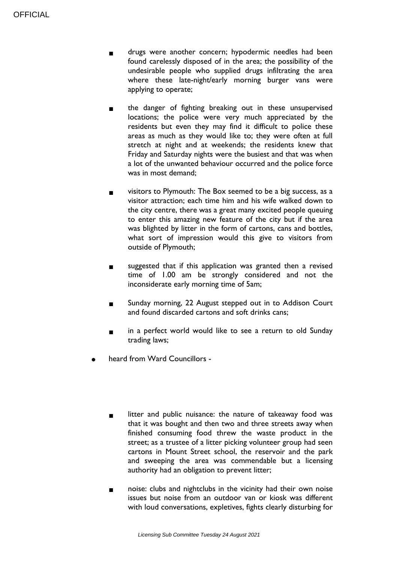- drugs were another concern; hypodermic needles had been found carelessly disposed of in the area; the possibility of the undesirable people who supplied drugs infiltrating the area where these late-night/early morning burger vans were applying to operate;
- the danger of fighting breaking out in these unsupervised locations; the police were very much appreciated by the residents but even they may find it difficult to police these areas as much as they would like to; they were often at full stretch at night and at weekends; the residents knew that Friday and Saturday nights were the busiest and that was when a lot of the unwanted behaviour occurred and the police force was in most demand;
- visitors to Plymouth: The Box seemed to be a big success, as a visitor attraction; each time him and his wife walked down to the city centre, there was a great many excited people queuing to enter this amazing new feature of the city but if the area was blighted by litter in the form of cartons, cans and bottles, what sort of impression would this give to visitors from outside of Plymouth;
- suggested that if this application was granted then a revised time of 1.00 am be strongly considered and not the inconsiderate early morning time of 5am;
- Sunday morning, 22 August stepped out in to Addison Court and found discarded cartons and soft drinks cans;
- in a perfect world would like to see a return to old Sunday trading laws;
- heard from Ward Councillors -
	- litter and public nuisance: the nature of takeaway food was that it was bought and then two and three streets away when finished consuming food threw the waste product in the street; as a trustee of a litter picking volunteer group had seen cartons in Mount Street school, the reservoir and the park and sweeping the area was commendable but a licensing authority had an obligation to prevent litter;
	- noise: clubs and nightclubs in the vicinity had their own noise issues but noise from an outdoor van or kiosk was different with loud conversations, expletives, fights clearly disturbing for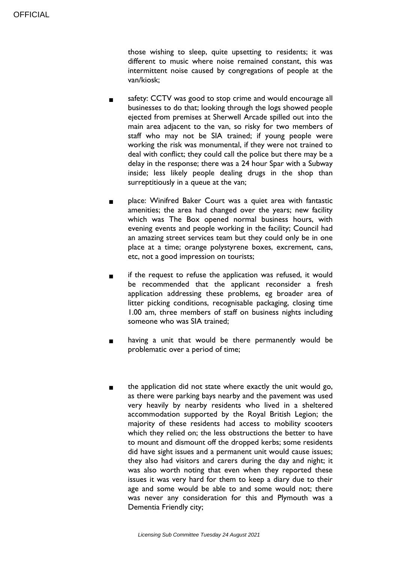those wishing to sleep, quite upsetting to residents; it was different to music where noise remained constant, this was intermittent noise caused by congregations of people at the van/kiosk;

- safety: CCTV was good to stop crime and would encourage all businesses to do that; looking through the logs showed people ejected from premises at Sherwell Arcade spilled out into the main area adjacent to the van, so risky for two members of staff who may not be SIA trained; if young people were working the risk was monumental, if they were not trained to deal with conflict; they could call the police but there may be a delay in the response; there was a 24 hour Spar with a Subway inside; less likely people dealing drugs in the shop than surreptitiously in a queue at the van;
- place: Winifred Baker Court was a quiet area with fantastic amenities; the area had changed over the years; new facility which was The Box opened normal business hours, with evening events and people working in the facility; Council had an amazing street services team but they could only be in one place at a time; orange polystyrene boxes, excrement, cans, etc, not a good impression on tourists;
- if the request to refuse the application was refused, it would be recommended that the applicant reconsider a fresh application addressing these problems, eg broader area of litter picking conditions, recognisable packaging, closing time 1.00 am, three members of staff on business nights including someone who was SIA trained;
- having a unit that would be there permanently would be problematic over a period of time;
- the application did not state where exactly the unit would go, as there were parking bays nearby and the pavement was used very heavily by nearby residents who lived in a sheltered accommodation supported by the Royal British Legion; the majority of these residents had access to mobility scooters which they relied on; the less obstructions the better to have to mount and dismount off the dropped kerbs; some residents did have sight issues and a permanent unit would cause issues; they also had visitors and carers during the day and night; it was also worth noting that even when they reported these issues it was very hard for them to keep a diary due to their age and some would be able to and some would not; there was never any consideration for this and Plymouth was a Dementia Friendly city;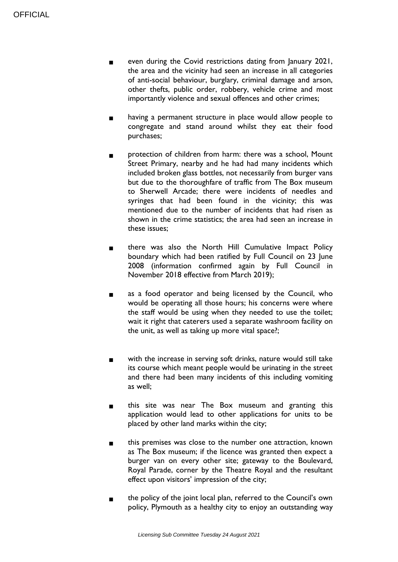- even during the Covid restrictions dating from January 2021, the area and the vicinity had seen an increase in all categories of anti-social behaviour, burglary, criminal damage and arson, other thefts, public order, robbery, vehicle crime and most importantly violence and sexual offences and other crimes;
- having a permanent structure in place would allow people to congregate and stand around whilst they eat their food purchases;
- protection of children from harm: there was a school, Mount Street Primary, nearby and he had had many incidents which included broken glass bottles, not necessarily from burger vans but due to the thoroughfare of traffic from The Box museum to Sherwell Arcade; there were incidents of needles and syringes that had been found in the vicinity; this was mentioned due to the number of incidents that had risen as shown in the crime statistics; the area had seen an increase in these issues;
- there was also the North Hill Cumulative Impact Policy boundary which had been ratified by Full Council on 23 June 2008 (information confirmed again by Full Council in November 2018 effective from March 2019);
- as a food operator and being licensed by the Council, who would be operating all those hours; his concerns were where the staff would be using when they needed to use the toilet; wait it right that caterers used a separate washroom facility on the unit, as well as taking up more vital space?;
- with the increase in serving soft drinks, nature would still take its course which meant people would be urinating in the street and there had been many incidents of this including vomiting as well;
- this site was near The Box museum and granting this application would lead to other applications for units to be placed by other land marks within the city;
- this premises was close to the number one attraction, known as The Box museum; if the licence was granted then expect a burger van on every other site; gateway to the Boulevard, Royal Parade, corner by the Theatre Royal and the resultant effect upon visitors' impression of the city;
- the policy of the joint local plan, referred to the Council's own policy, Plymouth as a healthy city to enjoy an outstanding way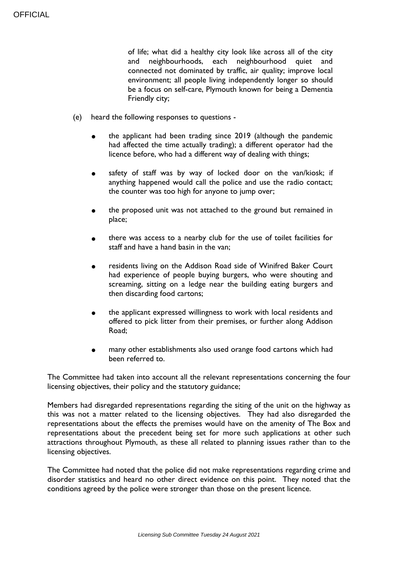of life; what did a healthy city look like across all of the city and neighbourhoods, each neighbourhood quiet and connected not dominated by traffic, air quality; improve local environment; all people living independently longer so should be a focus on self-care, Plymouth known for being a Dementia Friendly city;

- (e) heard the following responses to questions
	- the applicant had been trading since 2019 (although the pandemic had affected the time actually trading); a different operator had the licence before, who had a different way of dealing with things;
	- safety of staff was by way of locked door on the van/kiosk; if anything happened would call the police and use the radio contact; the counter was too high for anyone to jump over;
	- the proposed unit was not attached to the ground but remained in place;
	- there was access to a nearby club for the use of toilet facilities for staff and have a hand basin in the van;
	- residents living on the Addison Road side of Winifred Baker Court had experience of people buying burgers, who were shouting and screaming, sitting on a ledge near the building eating burgers and then discarding food cartons;
	- the applicant expressed willingness to work with local residents and offered to pick litter from their premises, or further along Addison Road;
	- many other establishments also used orange food cartons which had been referred to.

The Committee had taken into account all the relevant representations concerning the four licensing objectives, their policy and the statutory guidance;

Members had disregarded representations regarding the siting of the unit on the highway as this was not a matter related to the licensing objectives. They had also disregarded the representations about the effects the premises would have on the amenity of The Box and representations about the precedent being set for more such applications at other such attractions throughout Plymouth, as these all related to planning issues rather than to the licensing objectives.

The Committee had noted that the police did not make representations regarding crime and disorder statistics and heard no other direct evidence on this point. They noted that the conditions agreed by the police were stronger than those on the present licence.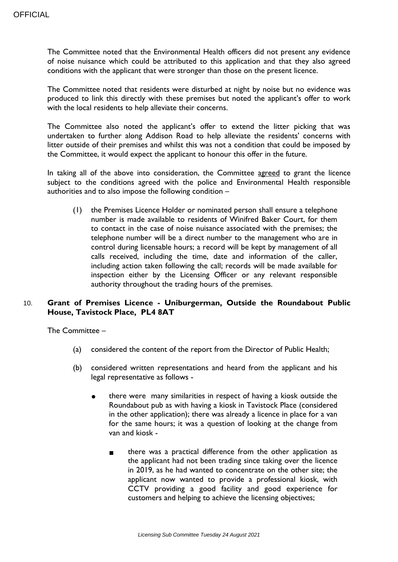The Committee noted that the Environmental Health officers did not present any evidence of noise nuisance which could be attributed to this application and that they also agreed conditions with the applicant that were stronger than those on the present licence.

The Committee noted that residents were disturbed at night by noise but no evidence was produced to link this directly with these premises but noted the applicant's offer to work with the local residents to help alleviate their concerns.

The Committee also noted the applicant's offer to extend the litter picking that was undertaken to further along Addison Road to help alleviate the residents' concerns with litter outside of their premises and whilst this was not a condition that could be imposed by the Committee, it would expect the applicant to honour this offer in the future.

In taking all of the above into consideration, the Committee agreed to grant the licence subject to the conditions agreed with the police and Environmental Health responsible authorities and to also impose the following condition –

(1) the Premises Licence Holder or nominated person shall ensure a telephone number is made available to residents of Winifred Baker Court, for them to contact in the case of noise nuisance associated with the premises; the telephone number will be a direct number to the management who are in control during licensable hours; a record will be kept by management of all calls received, including the time, date and information of the caller, including action taken following the call; records will be made available for inspection either by the Licensing Officer or any relevant responsible authority throughout the trading hours of the premises.

## 10. **Grant of Premises Licence - Uniburgerman, Outside the Roundabout Public House, Tavistock Place, PL4 8AT**

The Committee –

- (a) considered the content of the report from the Director of Public Health;
- (b) considered written representations and heard from the applicant and his legal representative as follows
	- there were many similarities in respect of having a kiosk outside the Roundabout pub as with having a kiosk in Tavistock Place (considered in the other application); there was already a licence in place for a van for the same hours; it was a question of looking at the change from van and kiosk
		- there was a practical difference from the other application as the applicant had not been trading since taking over the licence in 2019, as he had wanted to concentrate on the other site; the applicant now wanted to provide a professional kiosk, with CCTV providing a good facility and good experience for customers and helping to achieve the licensing objectives;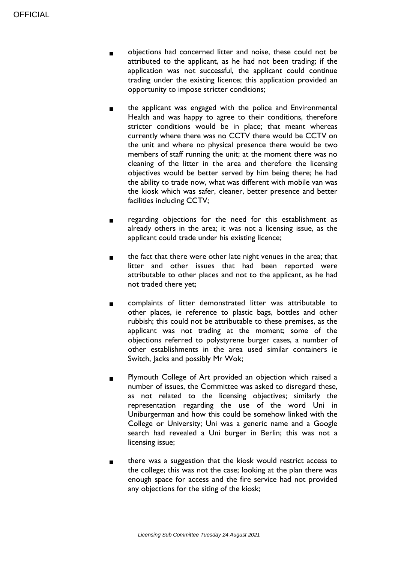- objections had concerned litter and noise, these could not be attributed to the applicant, as he had not been trading; if the application was not successful, the applicant could continue trading under the existing licence; this application provided an opportunity to impose stricter conditions;
- the applicant was engaged with the police and Environmental Health and was happy to agree to their conditions, therefore stricter conditions would be in place; that meant whereas currently where there was no CCTV there would be CCTV on the unit and where no physical presence there would be two members of staff running the unit; at the moment there was no cleaning of the litter in the area and therefore the licensing objectives would be better served by him being there; he had the ability to trade now, what was different with mobile van was the kiosk which was safer, cleaner, better presence and better facilities including CCTV;
- regarding objections for the need for this establishment as already others in the area; it was not a licensing issue, as the applicant could trade under his existing licence;
- the fact that there were other late night venues in the area; that litter and other issues that had been reported were attributable to other places and not to the applicant, as he had not traded there yet;
- complaints of litter demonstrated litter was attributable to other places, ie reference to plastic bags, bottles and other rubbish; this could not be attributable to these premises, as the applicant was not trading at the moment; some of the objections referred to polystyrene burger cases, a number of other establishments in the area used similar containers ie Switch, Jacks and possibly Mr Wok;
- Plymouth College of Art provided an objection which raised a number of issues, the Committee was asked to disregard these, as not related to the licensing objectives; similarly the representation regarding the use of the word Uni in Uniburgerman and how this could be somehow linked with the College or University; Uni was a generic name and a Google search had revealed a Uni burger in Berlin; this was not a licensing issue;
- there was a suggestion that the kiosk would restrict access to the college; this was not the case; looking at the plan there was enough space for access and the fire service had not provided any objections for the siting of the kiosk;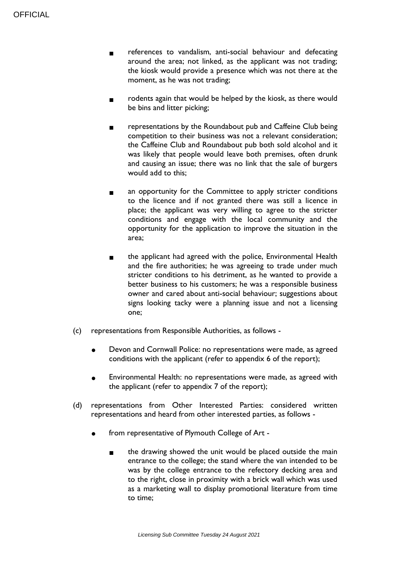- references to vandalism, anti-social behaviour and defecating around the area; not linked, as the applicant was not trading; the kiosk would provide a presence which was not there at the moment, as he was not trading;
- rodents again that would be helped by the kiosk, as there would be bins and litter picking;
- representations by the Roundabout pub and Caffeine Club being competition to their business was not a relevant consideration; the Caffeine Club and Roundabout pub both sold alcohol and it was likely that people would leave both premises, often drunk and causing an issue; there was no link that the sale of burgers would add to this;
- an opportunity for the Committee to apply stricter conditions to the licence and if not granted there was still a licence in place; the applicant was very willing to agree to the stricter conditions and engage with the local community and the opportunity for the application to improve the situation in the area;
- the applicant had agreed with the police, Environmental Health and the fire authorities; he was agreeing to trade under much stricter conditions to his detriment, as he wanted to provide a better business to his customers; he was a responsible business owner and cared about anti-social behaviour; suggestions about signs looking tacky were a planning issue and not a licensing one;
- (c) representations from Responsible Authorities, as follows
	- Devon and Cornwall Police: no representations were made, as agreed conditions with the applicant (refer to appendix 6 of the report);
	- Environmental Health: no representations were made, as agreed with the applicant (refer to appendix 7 of the report);
- (d) representations from Other Interested Parties: considered written representations and heard from other interested parties, as follows
	- from representative of Plymouth College of Art
		- the drawing showed the unit would be placed outside the main entrance to the college; the stand where the van intended to be was by the college entrance to the refectory decking area and to the right, close in proximity with a brick wall which was used as a marketing wall to display promotional literature from time to time;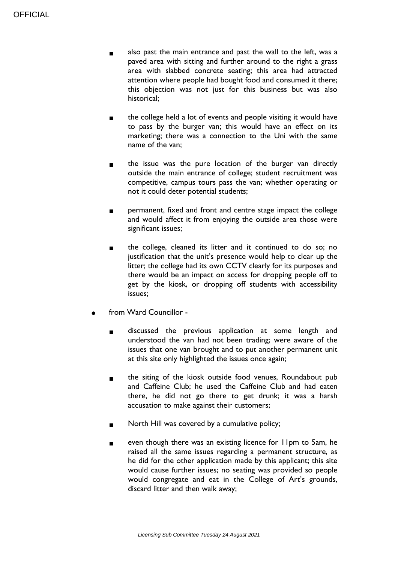- also past the main entrance and past the wall to the left, was a paved area with sitting and further around to the right a grass area with slabbed concrete seating; this area had attracted attention where people had bought food and consumed it there; this objection was not just for this business but was also historical;
- the college held a lot of events and people visiting it would have to pass by the burger van; this would have an effect on its marketing; there was a connection to the Uni with the same name of the van;
- the issue was the pure location of the burger van directly outside the main entrance of college; student recruitment was competitive, campus tours pass the van; whether operating or not it could deter potential students;
- permanent, fixed and front and centre stage impact the college and would affect it from enjoying the outside area those were significant issues;
- the college, cleaned its litter and it continued to do so; no justification that the unit's presence would help to clear up the litter; the college had its own CCTV clearly for its purposes and there would be an impact on access for dropping people off to get by the kiosk, or dropping off students with accessibility issues;
- from Ward Councillor
	- discussed the previous application at some length and understood the van had not been trading; were aware of the issues that one van brought and to put another permanent unit at this site only highlighted the issues once again;
	- the siting of the kiosk outside food venues, Roundabout pub and Caffeine Club; he used the Caffeine Club and had eaten there, he did not go there to get drunk; it was a harsh accusation to make against their customers;
	- North Hill was covered by a cumulative policy;
	- even though there was an existing licence for 11pm to 5am, he raised all the same issues regarding a permanent structure, as he did for the other application made by this applicant; this site would cause further issues; no seating was provided so people would congregate and eat in the College of Art's grounds, discard litter and then walk away;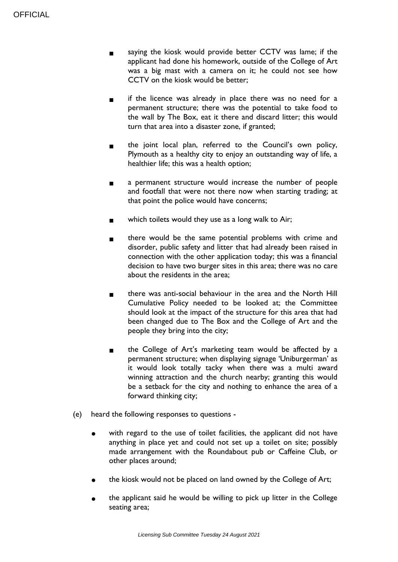- saying the kiosk would provide better CCTV was lame; if the applicant had done his homework, outside of the College of Art was a big mast with a camera on it; he could not see how CCTV on the kiosk would be better;
- if the licence was already in place there was no need for a permanent structure; there was the potential to take food to the wall by The Box, eat it there and discard litter; this would turn that area into a disaster zone, if granted;
- the joint local plan, referred to the Council's own policy, Plymouth as a healthy city to enjoy an outstanding way of life, a healthier life; this was a health option;
- a permanent structure would increase the number of people and footfall that were not there now when starting trading; at that point the police would have concerns;
- which toilets would they use as a long walk to Air;
- there would be the same potential problems with crime and disorder, public safety and litter that had already been raised in connection with the other application today; this was a financial decision to have two burger sites in this area; there was no care about the residents in the area;
- there was anti-social behaviour in the area and the North Hill Cumulative Policy needed to be looked at; the Committee should look at the impact of the structure for this area that had been changed due to The Box and the College of Art and the people they bring into the city;
- the College of Art's marketing team would be affected by a permanent structure; when displaying signage 'Uniburgerman' as it would look totally tacky when there was a multi award winning attraction and the church nearby; granting this would be a setback for the city and nothing to enhance the area of a forward thinking city;
- (e) heard the following responses to questions
	- with regard to the use of toilet facilities, the applicant did not have anything in place yet and could not set up a toilet on site; possibly made arrangement with the Roundabout pub or Caffeine Club, or other places around;
	- the kiosk would not be placed on land owned by the College of Art;
	- the applicant said he would be willing to pick up litter in the College seating area;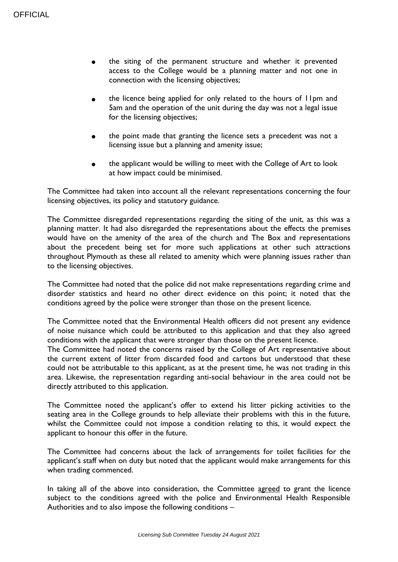- the siting of the permanent structure and whether it prevented access to the College would be a planning matter and not one in connection with the licensing objectives;
- the licence being applied for only related to the hours of 11pm and 5am and the operation of the unit during the day was not a legal issue for the licensing objectives;
- the point made that granting the licence sets a precedent was not a licensing issue but a planning and amenity issue;
- the applicant would be willing to meet with the College of Art to look at how impact could be minimised.

The Committee had taken into account all the relevant representations concerning the four licensing objectives, its policy and statutory guidance.

The Committee disregarded representations regarding the siting of the unit, as this was a planning matter. It had also disregarded the representations about the effects the premises would have on the amenity of the area of the church and The Box and representations about the precedent being set for more such applications at other such attractions throughout Plymouth as these all related to amenity which were planning issues rather than to the licensing objectives.

The Committee had noted that the police did not make representations regarding crime and disorder statistics and heard no other direct evidence on this point; it noted that the conditions agreed by the police were stronger than those on the present licence.

The Committee noted that the Environmental Health officers did not present any evidence of noise nuisance which could be attributed to this application and that they also agreed conditions with the applicant that were stronger than those on the present licence.

The Committee had noted the concerns raised by the College of Art representative about the current extent of litter from discarded food and cartons but understood that these could not be attributable to this applicant, as at the present time, he was not trading in this area. Likewise, the representation regarding anti-social behaviour in the area could not be directly attributed to this application.

The Committee noted the applicant's offer to extend his litter picking activities to the seating area in the College grounds to help alleviate their problems with this in the future, whilst the Committee could not impose a condition relating to this, it would expect the applicant to honour this offer in the future.

The Committee had concerns about the lack of arrangements for toilet facilities for the applicant's staff when on duty but noted that the applicant would make arrangements for this when trading commenced.

In taking all of the above into consideration, the Committee agreed to grant the licence subject to the conditions agreed with the police and Environmental Health Responsible Authorities and to also impose the following conditions –